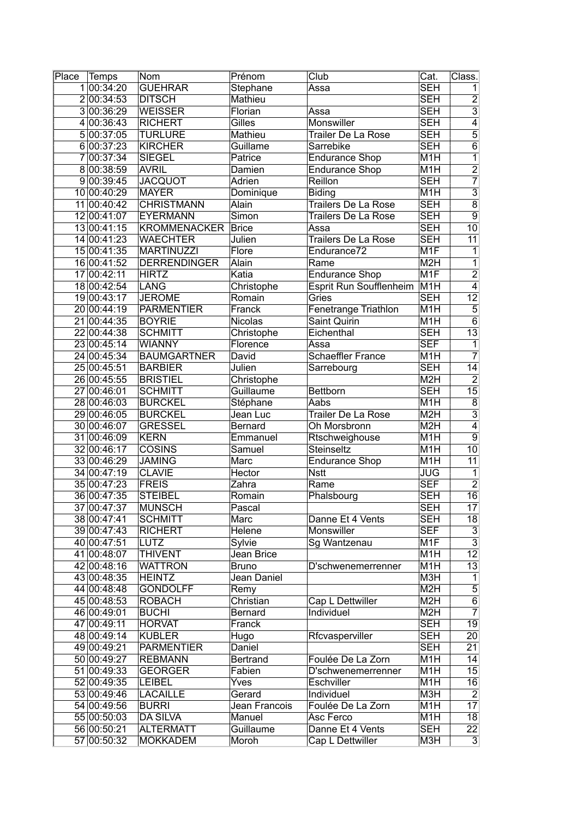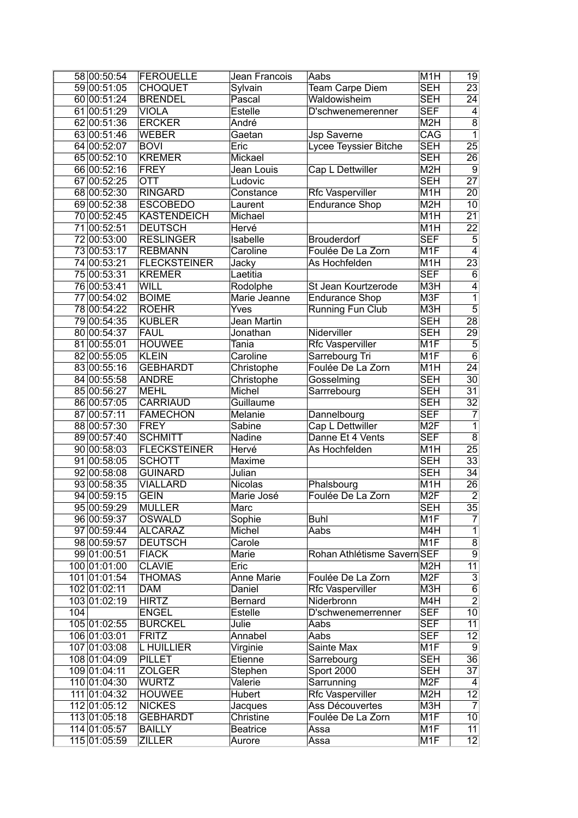|     | 58 00:50:54  | FEROUELLE           | Jean Francois | Aabs                       | M <sub>1</sub> H | 19              |
|-----|--------------|---------------------|---------------|----------------------------|------------------|-----------------|
|     | 59 00:51:05  | <b>CHOQUET</b>      | Sylvain       | Team Carpe Diem            | SEH              | $\overline{23}$ |
|     | 60 00:51:24  | <b>BRENDEL</b>      | Pascal        | Waldowisheim               | SEH              | $\overline{24}$ |
|     | 61 00:51:29  | <b>VIOLA</b>        | Estelle       | D'schwenemerenner          | <b>SEF</b>       | 4               |
|     | 62 00:51:36  | <b>ERCKER</b>       | André         |                            | M <sub>2</sub> H | $\overline{8}$  |
|     | 63 00:51:46  | <b>WEBER</b>        | Gaetan        | <b>Jsp Saverne</b>         | CAG              | $\overline{1}$  |
|     | 64 00:52:07  | <b>BOVI</b>         | Eric          | Lycee Teyssier Bitche      | <b>SEH</b>       | $\overline{25}$ |
|     | 65 00:52:10  | <b>KREMER</b>       | Mickael       |                            | SEH              | $\overline{26}$ |
|     | 66 00:52:16  | FREY                | Jean Louis    | Cap L Dettwiller           | M <sub>2H</sub>  | $\overline{9}$  |
|     | 67 00:52:25  | <b>OTT</b>          | Ludovic       |                            | <b>SEH</b>       | $\overline{27}$ |
|     | 68 00:52:30  | <b>RINGARD</b>      | Constance     | <b>Rfc Vasperviller</b>    | M <sub>1</sub> H | $\overline{20}$ |
|     | 69 00:52:38  | <b>ESCOBEDO</b>     | Laurent       | <b>Endurance Shop</b>      | M <sub>2</sub> H | 10              |
|     | 70 00:52:45  | <b>KASTENDEICH</b>  | Michael       |                            | M <sub>1</sub> H | $\overline{21}$ |
|     | 71 00:52:51  | <b>DEUTSCH</b>      | Hervé         |                            | $\overline{M1H}$ | $\overline{22}$ |
|     | 72 00:53:00  | <b>RESLINGER</b>    | Isabelle      | <b>Brouderdorf</b>         | <b>SEF</b>       | $\overline{5}$  |
|     | 73 00:53:17  | <b>REBMANN</b>      |               | Foulée De La Zorn          | M <sub>1</sub> F | $\overline{4}$  |
|     |              | <b>FLECKSTEINER</b> | Caroline      |                            |                  |                 |
|     | 74 00:53:21  |                     | Jacky         | As Hochfelden              | M <sub>1</sub> H | $\overline{23}$ |
|     | 75 00:53:31  | <b>KREMER</b>       | Laetitia      |                            | <b>SEF</b>       | $\overline{6}$  |
|     | 76 00:53:41  | WILL                | Rodolphe      | St Jean Kourtzerode        | M3H              | 4               |
|     | 77 00:54:02  | <b>BOIME</b>        | Marie Jeanne  | <b>Endurance Shop</b>      | M <sub>3F</sub>  | $\overline{1}$  |
|     | 78 00:54:22  | <b>ROEHR</b>        | Yves          | <b>Running Fun Club</b>    | M3H              | $\overline{5}$  |
|     | 79 00:54:35  | <b>KUBLER</b>       | Jean Martin   |                            | SEH              | $\overline{28}$ |
|     | 80 00:54:37  | <b>FAUL</b>         | Jonathan      | Niderviller                | SEH              | 29              |
|     | 81 00:55:01  | <b>HOUWEE</b>       | Tania         | Rfc Vasperviller           | M <sub>1</sub> F | $\overline{5}$  |
|     | 82 00:55:05  | <b>KLEIN</b>        | Caroline      | Sarrebourg Tri             | M <sub>1F</sub>  | $\overline{6}$  |
|     | 83 00:55:16  | <b>GEBHARDT</b>     | Christophe    | Foulée De La Zorn          | M <sub>1</sub> H | $\overline{24}$ |
|     | 84 00:55:58  | <b>ANDRE</b>        | Christophe    | Gosselming                 | <b>SEH</b>       | $\overline{30}$ |
|     | 85 00:56:27  | <b>MEHL</b>         | Michel        | Sarrrebourg                | <b>SEH</b>       | $\overline{31}$ |
|     | 86 00:57:05  | <b>CARRIAUD</b>     | Guillaume     |                            | <b>SEH</b>       | $\overline{32}$ |
|     | 87 00:57:11  | <b>FAMECHON</b>     | Melanie       | Dannelbourg                | <b>SEF</b>       | $\overline{7}$  |
|     | 88 00:57:30  | <b>FREY</b>         | Sabine        | Cap L Dettwiller           | M <sub>2F</sub>  | $\overline{1}$  |
|     | 89 00:57:40  | <b>SCHMITT</b>      | Nadine        | Danne Et 4 Vents           | <b>SEF</b>       | $\overline{8}$  |
|     | 90 00:58:03  | <b>FLECKSTEINER</b> | Hervé         | As Hochfelden              | M <sub>1</sub> H | $\overline{25}$ |
|     | 91 00:58:05  | <b>SCHOTT</b>       | Maxime        |                            | <b>SEH</b>       | $\overline{33}$ |
|     | 92 00:58:08  | <b>GUINARD</b>      | Julian        |                            | <b>SEH</b>       | $\overline{34}$ |
|     | 93 00:58:35  | <b>VIALLARD</b>     | Nicolas       | Phalsbourg                 | M <sub>1</sub> H | $\overline{26}$ |
|     | 94 00:59:15  | <b>GEIN</b>         | Marie José    | Foulée De La Zorn          | M <sub>2F</sub>  | $\overline{2}$  |
|     | 95 00:59:29  | <b>MULLER</b>       | Marc          |                            | <b>SEH</b>       | $\overline{35}$ |
|     | 96 00:59:37  | <b>OSWALD</b>       | Sophie        | <b>Buhl</b>                | M <sub>1</sub> F | $\overline{7}$  |
|     | 97 00:59:44  | <b>ALCARAZ</b>      | Michel        | Aabs                       | M4H              | $\overline{1}$  |
|     | 98 00:59:57  | <b>DEUTSCH</b>      | Carole        |                            | M <sub>1</sub> F | $\overline{8}$  |
|     | 99 01:00:51  | <b>FIACK</b>        | Marie         | Rohan Athlétisme SavernSEF |                  | $\overline{9}$  |
|     | 100 01:01:00 | <b>CLAVIE</b>       | Eric          |                            | M <sub>2</sub> H | $\overline{11}$ |
|     | 101 01:01:54 | <b>THOMAS</b>       | Anne Marie    | Foulée De La Zorn          | M <sub>2F</sub>  |                 |
|     | 102 01:02:11 | <b>DAM</b>          | Daniel        | Rfc Vasperviller           | M3H              | $\frac{3}{6}$   |
|     | 103 01:02:19 | <b>HIRTZ</b>        | Bernard       | Niderbronn                 | M4H              | $\overline{2}$  |
| 104 |              | <b>ENGEL</b>        | Estelle       | D'schwenemerrenner         | <b>SEF</b>       | 10              |
|     | 105 01:02:55 | <b>BURCKEL</b>      | Julie         | Aabs                       | <b>SEF</b>       | $\overline{11}$ |
|     | 106 01:03:01 | <b>FRITZ</b>        | Annabel       | Aabs                       | <b>SEF</b>       | $\overline{12}$ |
|     | 107 01:03:08 | L HUILLIER          | Virginie      | Sainte Max                 | M <sub>1</sub> F | $\overline{9}$  |
|     | 108 01:04:09 | PILLET              | Etienne       | Sarrebourg                 | <b>SEH</b>       | 36              |
|     | 109 01:04:11 | <b>ZOLGER</b>       | Stephen       | <b>Sport 2000</b>          | <b>SEH</b>       | $\overline{37}$ |
|     | 110 01:04:30 | <b>WURTZ</b>        | Valerie       | Sarrunning                 | M <sub>2</sub> F | $\vert 4 \vert$ |
|     | 111 01:04:32 | <b>HOUWEE</b>       | Hubert        | <b>Rfc Vasperviller</b>    | M <sub>2</sub> H | 12              |
|     | 112 01:05:12 | <b>NICKES</b>       | Jacques       | Ass Découvertes            | M <sub>3</sub> H | $\overline{7}$  |
|     | 113 01:05:18 | <b>GEBHARDT</b>     | Christine     | Foulée De La Zorn          | M <sub>1</sub> F | 10              |
|     | 114 01:05:57 | <b>BAILLY</b>       | Beatrice      | Assa                       | M <sub>1</sub> F | 11              |
|     | 115 01:05:59 | <b>ZILLER</b>       | Aurore        | Assa                       | M <sub>1</sub> F | $\overline{12}$ |
|     |              |                     |               |                            |                  |                 |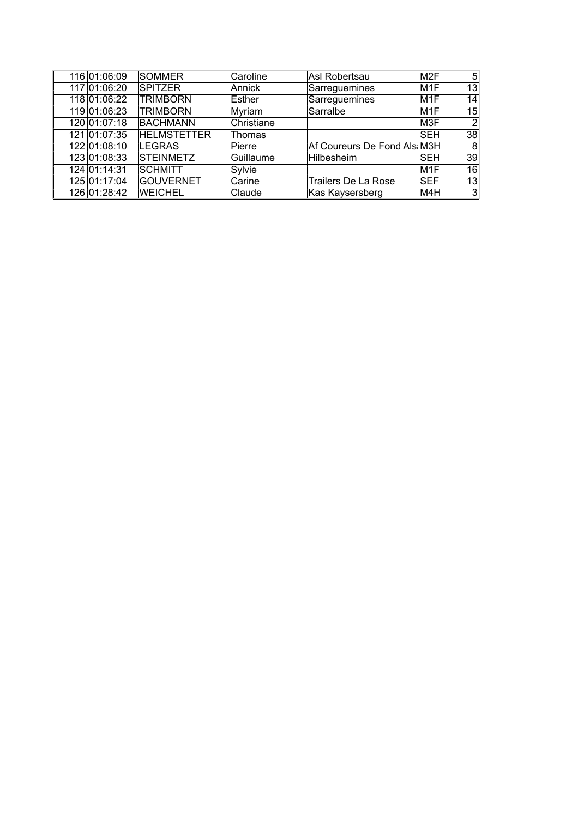| 116 01:06:09 | <b>SOMMER</b>      | Caroline   | Asl Robertsau                | M <sub>2</sub> F | 5 <sup>1</sup> |
|--------------|--------------------|------------|------------------------------|------------------|----------------|
| 117 01:06:20 | <b>SPITZER</b>     | Annick     | Sarreguemines                | M <sub>1</sub> F | 13             |
| 118 01:06:22 | <b>TRIMBORN</b>    | Esther     | Sarreguemines                | M <sub>1</sub> F | 14             |
| 119 01:06:23 | <b>TRIMBORN</b>    | Myriam     | Sarralbe                     | M <sub>1</sub> F | 15             |
| 120 01:07:18 | <b>BACHMANN</b>    | Christiane |                              | M3F              | 2              |
| 121 01:07:35 | <b>HELMSTETTER</b> | Thomas     |                              | <b>SEH</b>       | 38             |
| 122 01:08:10 | LEGRAS             | Pierre     | Af Coureurs De Fond Als: M3H |                  | 8              |
| 123 01:08:33 | <b>STEINMETZ</b>   | Guillaume  | Hilbesheim                   | <b>SEH</b>       | 39             |
| 124 01:14:31 | <b>SCHMITT</b>     | Sylvie     |                              | M <sub>1</sub> F | 16             |
| 125 01:17:04 | <b>GOUVERNET</b>   | Carine     | <b>Trailers De La Rose</b>   | <b>SEF</b>       | 13             |
| 126 01:28:42 | <b>WEICHEL</b>     | Claude     | Kas Kaysersberg              | M4H              | 3              |